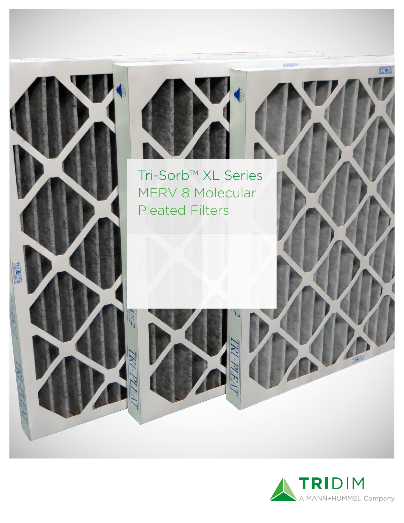



Tri-Sorb™ XL Series MERV 8 Molecular Pleated Filters





**NICY RA**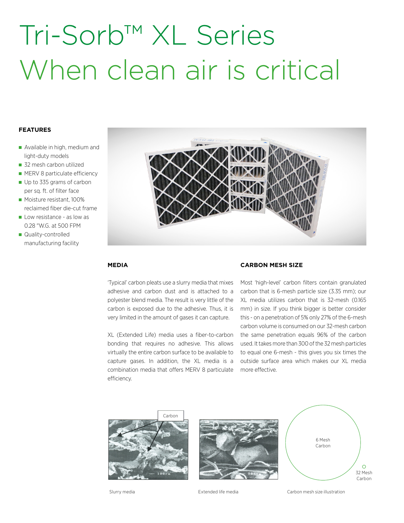# Tri-Sorb™ XL Series When clean air is critical

## **FEATURES**

- Available in high, medium and light-duty models
- 32 mesh carbon utilized
- **MERV 8 particulate efficiency**
- Up to 335 grams of carbon per sq. ft. of filter face
- Moisture resistant, 100% reclaimed fiber die-cut frame
- Low resistance as low as 0.28 "W.G. at 500 FPM
- Quality-controlled manufacturing facility



### **MEDIA**

'Typical' carbon pleats use a slurry media that mixes adhesive and carbon dust and is attached to a polyester blend media. The result is very little of the carbon is exposed due to the adhesive. Thus, it is very limited in the amount of gases it can capture.

XL (Extended Life) media uses a fiber-to-carbon bonding that requires no adhesive. This allows virtually the entire carbon surface to be available to capture gases. In addition, the XL media is a combination media that offers MERV 8 particulate efficiency.

## **CARBON MESH SIZE**

Most 'high-level' carbon filters contain granulated carbon that is 6-mesh particle size (3.35 mm); our XL media utilizes carbon that is 32-mesh (0.165 mm) in size. If you think bigger is better consider this - on a penetration of 5% only 27% of the 6-mesh carbon volume is consumed on our 32-mesh carbon the same penetration equals 96% of the carbon used. It takes more than 300 of the 32 mesh particles to equal one 6-mesh - this gives you six times the outside surface area which makes our XL media more effective.



Slurry media Extended life media Carbon mesh size illustration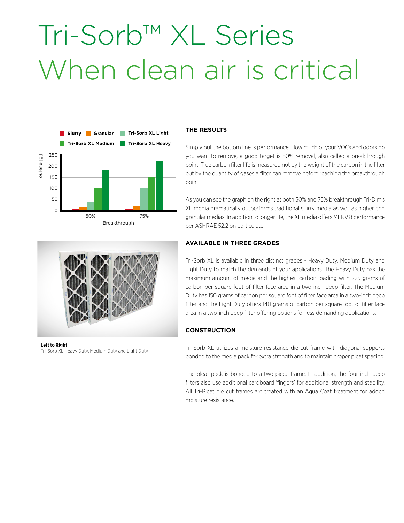# Tri-Sorb™ XL Series When clean air is critical



### **THE RESULTS**

Simply put the bottom line is performance. How much of your VOCs and odors do you want to remove, a good target is 50% removal, also called a breakthrough point. True carbon filter life is measured not by the weight of the carbon in the filter but by the quantity of gases a filter can remove before reaching the breakthrough point.

As you can see the graph on the right at both 50% and 75% breakthrough Tri-Dim's XL media dramatically outperforms traditional slurry media as well as higher end granular medias. In addition to longer life, the XL media offers MERV 8 performance per ASHRAE 52.2 on particulate.



# **Left to Right**

## **AVAILABLE IN THREE GRADES**

Tri-Sorb XL is available in three distinct grades - Heavy Duty, Medium Duty and Light Duty to match the demands of your applications. The Heavy Duty has the maximum amount of media and the highest carbon loading with 225 grams of carbon per square foot of filter face area in a two-inch deep filter. The Medium Duty has 150 grams of carbon per square foot of filter face area in a two-inch deep filter and the Light Duty offers 140 grams of carbon per square foot of filter face area in a two-inch deep filter offering options for less demanding applications.

## **CONSTRUCTION**

Tri-Sorb XL utilizes a moisture resistance die-cut frame with diagonal supports bonded to the media pack for extra strength and to maintain proper pleat spacing.

The pleat pack is bonded to a two piece frame. In addition, the four-inch deep filters also use additional cardboard 'fingers' for additional strength and stability. All Tri-Pleat die cut frames are treated with an Aqua Coat treatment for added moisture resistance.